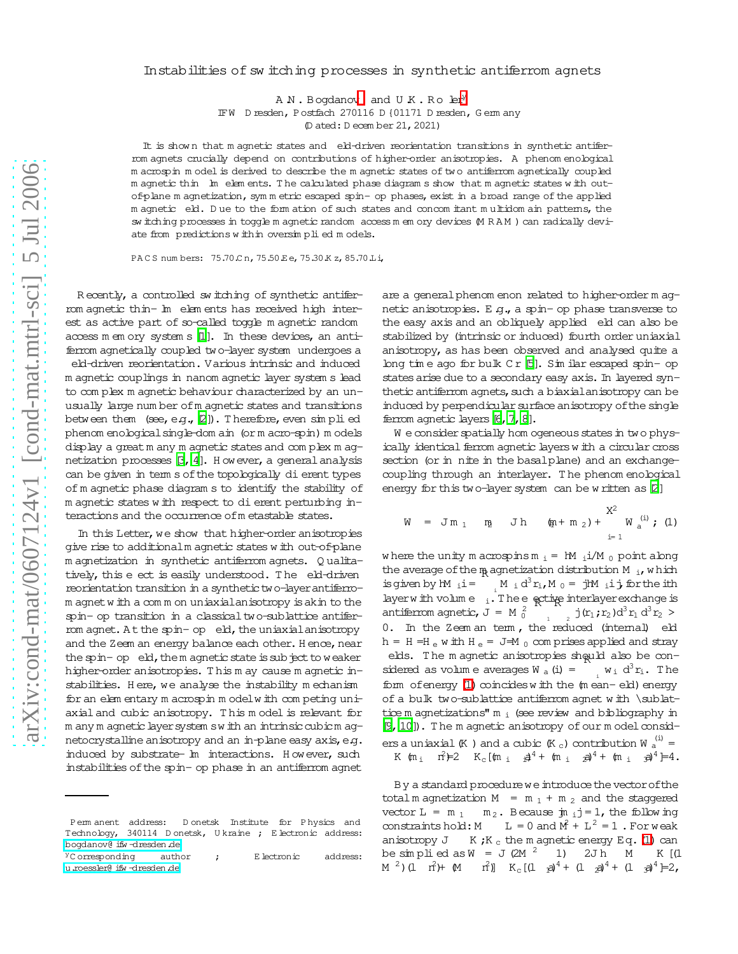## Instabilities of sw itching processes in synthetic antiferrom agnets

A N. Bogdano[v](#page-0-0) and U K. Role[r](#page-0-1)<sup>y</sup>

IFW D resden, Postfach 270116 D {01171 D resden, G erm any

(D ated: D ecem ber 21,2021)

It is shown that m agnetic states and eld-driven reorientation transitions in synthetic antiferrom agnets crucially depend on contributions of higher-order anisotropies. A phenom enological m acrospin m odel is derived to describe the m agnetic states of two antiferrom agnetically coupled m agnetic thin In elem ents. The calculated phase diagram s show that m agnetic states with outof-plane m agnetization, sym m etric escaped spin- op phases, exist in a broad range of the applied m agnetic eld. D ue to the form ation of such states and concom itant m ultidom ain patterns, the sw itching processes in toggle m agnetic random access m em ory devices (M RAM) can radically deviate from predictions within oversimplied models.

PACS num bers: 75.70 C n, 75.50 E e, 75.30 K z, 85.70 Li,

R ecently, a controlled sw itching of synthetic antiferrom agnetic thin- Im elem ents has received high interest as active part of so-called toggle m agnetic random access m em ory system s [\[1\]](#page-2-0). In these devices, an antiferrom agnetically coupled two-layer system undergoes a eld-driven reorientation. Various intrinsic and induced m agnetic couplings in nanom agnetic layer system s lead to com plex m agnetic behaviour characterized by an unusually large num ber ofm agnetic states and transitions between them  $(see, e.g., [2])$  $(see, e.g., [2])$  $(see, e.g., [2])$ . Therefore, even  $sim$  plied phenom enologicalsingle-dom ain (or m acro-spin) m odels display a great m any m agnetic states and complex m agnetization processes  $\beta$ , [4\]](#page-2-3). H owever, a general analysis can be given in term s of the topologically dierent types of m agnetic phase diagram s to identify the stability of m agnetic states w ith respect to dierent perturbing interactions and the occurrence ofm etastable states.

In this Letter, we show that higher-order anisotropies give rise to additionalm agnetic states w ith out-of-plane m agnetization in synthetic antiferrom agnets. Q ualitatively, this e ect is easily understood. The eld-driven reorientation transition in a synthetic two-layer antiferrom agnetw ith a com m on uniaxialanisotropy isakin to the spin- op transition in a classical two-sublattice antiferrom agnet. At the spin- op eld, the uniaxial anisotropy and the Zeem an energy balance each other. Hence, near the spin-op eld, them agnetic state is subject to weaker higher-order anisotropies. T his m ay cause m agnetic instabilities. Here, we analyse the instability mechanism for an elem entary m acrospin m odelw ith competing uniaxialand cubic anisotropy. T his m odel is relevant for m any m agnetic layer system sw ith an intrinsic cubicm agnetocrystalline anisotropy and an in-plane easy axis, e.g. induced by substrate- Im interactions. However, such instabilities of the spin- op phase in an antiferrom agnet

are a general phenom enon related to higher-order m agnetic anisotropies. E g., a spin- op phase transverse to the easy axis and an obliquely applied eld can also be stabilized by (intrinsic or induced) fourth order uniaxial anisotropy, as has been observed and analysed quite a long tim e ago for bulk C r [\[5\]](#page-2-4). Sim ilar escaped spinop states arise due to a secondary easy axis. In layered synthetic antiferrom agnets, such a biaxial anisotropy can be induced by perpendicular surface anisotropy of the single ferrom agnetic layers [\[6](#page-2-5), 7, 8].

W e consider spatially hom ogeneous states in two physically identical ferrom agnetic layers w ith a circular cross section (or in nite in the basalplane) and an exchangecoupling through an interlayer. T he phenom enological energy for this two-layer system can be written as [\[2](#page-2-1)]

$$
W = Jm_1 \t m_2 Jh \t (m+m_2) + \frac{X^2}{W_a^{(i)}}; (1)
$$

<span id="page-0-2"></span>where the unity m acrospins  $m_i = 1$ M  $i/M_0$  point along the average of the  $m_{\text{R}}$  agnetization distribution M  $_{\text{i}}$ , which is given by  $hM_i$  i=  $\int_{i}^{N} M_i d^3 r_i$ ,  $M_0 = jM_i$  ij for the ith layer with volume  $\frac{1}{1}$ . The eed time interlayer exchange is antiferrom agnetic,  $J = M_0^2$  $\int_{1}^{1}$   $\int_{2}^{1} (r_1; r_2) d^3 r_1 d^3 r_2 >$ 0. In the Zeem an term, the reduced (internal) eld  $h = H =H_e$  w ith  $H_e = J =M_0$  com prises applied and stray elds. The magnetic anisotropies should also be considered as volum e averages  $W_a(i) =$  $w_i$  d<sup>3</sup> $r_i$ . The form of energy  $(1)$  coincides with the  $(m$  ean-eld) energy of a bulk two-sublattice antiferrom agnet w ith \sublattice m agnetizations"  $m_i$  (see review and bibliography in [\[9,](#page-3-0) [10\]](#page-3-1)). The m agnetic anisotropy of our m odel considers a uniaxial (K ) and a cubic (K  $_{\rm c}$ ) contribution W  $_{\rm a}^{\rm (i)}$  = K (m <sub>i</sub>  $r^2 \neq 2$  K<sub>c</sub>[(m <sub>i</sub>  $r^2 \neq 4 +$  (m i  $r^2 \neq 4$ )<sup>4</sup> + (m i  $r^2 \neq 4$ .

By a standard procedure we introduce the vector of the total m agnetization  $M = m_1 + m_2$  and the staggered vector  $L = m_1 - m_2$ . Because  $jn_i j = 1$ , the following constraints hold: M  $\hat{f} + L^2 = 1$ . For weak anisotropy  $J$  K; K  $_c$  the m agnetic energy Eq. [\(1\)](#page-0-2) can be simplied as  $W = J (2M^2) 1$  2Jh M K [(1 M<sup>2</sup>)(l  $\hat{H}$ ) + (M  $\hat{H}$ ) K<sub>c</sub>[(l  $\hat{A}$ <sup>4</sup> + (l  $\hat{A}$ <sup>4</sup> + (l  $\hat{A}$ <sup>4</sup>)=2,

<span id="page-0-0"></span>Perm anent address: D onetsk Institute for P hysics and Technology, 340114 D onetsk, U kraine ; E lectronic address: [bogdanov@ ifw -dresden.de](mailto:bogdanov@ifw-dresden.de)

<span id="page-0-1"></span> $Y^{\gamma}$ C orresponding author ; E lectronic address: [u.roessler@ ifw -dresden.de](mailto:u.roessler@ifw-dresden.de)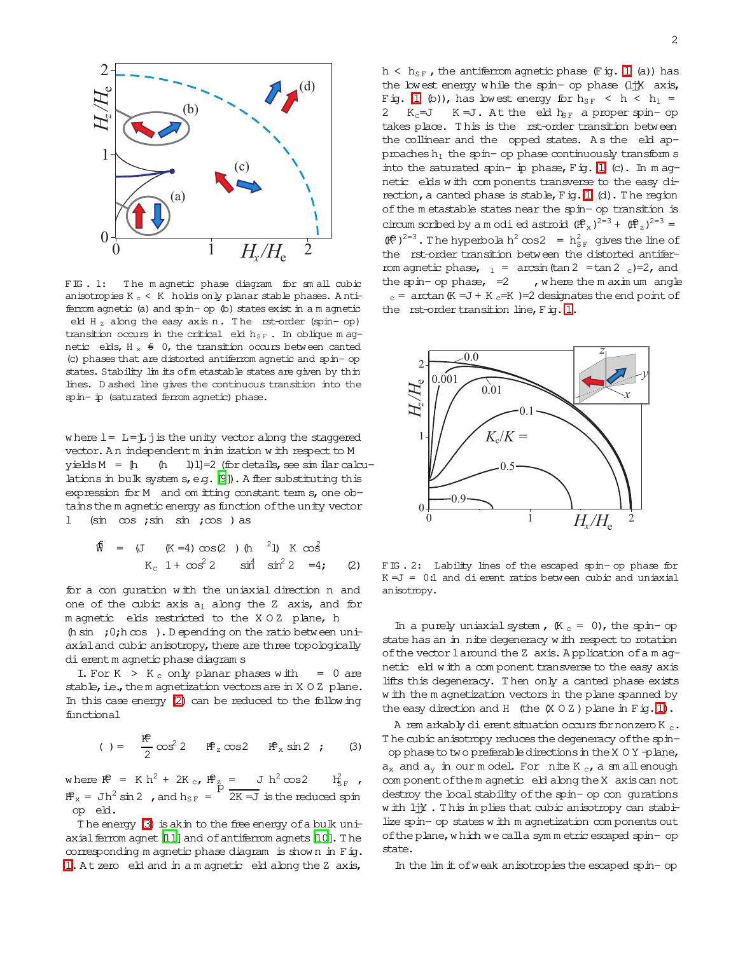

<span id="page-1-2"></span>FIG. 1: The magnetic phase diagram for small cubic anisotropies K  $_{\rm c}$  < K  $\,$  holds only planar stable phases. Antiferrom agnetic (a) and spinop (b) states exist in a m agnetic eld H<sub>z</sub> along the easy axis n. The rst-order (spin-op) transition occurs in the critical eld  $h_{SF}$ . In oblique m agnetic elds,  $H_x \div 0$ , the transition occurs between canted (c) phases that are distorted antiferrom agnetic and spinop states. Stability lim its ofm etastable states are given by thin lines. D ashed line gives the continuous transition into the spinip (saturated ferrom agnetic) phase.

where  $l = L = j$  j is the unity vector along the staggered vector. An independent m in in ization w ith respect to M  $y$ ieldsM = [h (h l)l]=2 (for details, see sim ilarcalculations in bulk system  $s$ , e.g.  $[9]$ ). A fter substituting this expression for M and om itting constant term  $s$ , one obtains the m agnetic energy as function of the unity vector  $(\sin \cos ; \sin \sin ; \cos )$  as

$$
\begin{array}{rcl}\n\mathfrak{F} & = & (\text{J} & (\text{K} = 4) \cos(2) ) \text{ (h} \quad {}^{2} \text{J} \text{)} \quad \text{K} \quad \cos^{2} \\
& & \text{K}_{\text{c}} \quad 1 + \cos^{2} 2 \quad \sin^{4} \quad \sin^{2} 2 \quad = 4; \qquad (2)\n\end{array}
$$

<span id="page-1-0"></span>for a con quration with the uniaxial direction n and one of the cubic axis  $a_i$  along the Z axis, and for m agnetic elds restricted to the X O Z plane, h

(h sin ;  $0;h \infty$  ). D epending on the ratio between uniaxial and cubic anisotropy, there are three topologically dierent m agnetic phase diagram s

I. For K  $>$  K  $_{\rm c}$  only planar phases with = 0 are stable, i.e., the m agnetization vectors are in  $X$  O Z plane. In this case energy [\(2\)](#page-1-0) can be reduced to the follow ing functional

$$
( ) = \frac{18}{2} \cos^2 2 \quad 18^{\circ} \sin 2 \quad ; \qquad (3)
$$

<span id="page-1-1"></span>where  $\mathbb{R}^2 = K h^2 + 2K_c$ ,  $\mathbb{R}^2 = J h^2 \cos 2 \text{ if}$  $\frac{2}{5}$   $\mathbf{r}$  $\mathbb{H}^2 = \text{J}h^2 \sin 2$  , and  $h_{SF} = \frac{P}{2K} = \frac{1}{2K}$  is the reduced spin op eld.

The energy  $(3)$  is akin to the free energy of a bulk uniaxial ferrom agnet  $[11]$  $[11]$  and of antiferrom agnets  $[10]$  $[10]$ . The corresponding m agnetic phase diagram is show n in Fig. [1.](#page-1-2) At zero eld and in a m agnetic eld along the Z axis,

 $h < h_{SF}$ , the antiferrom agnetic phase (Fig. [1](#page-1-2) (a)) has the lowest energy w hile the spinop phase (ljjX axis, Fig. [1](#page-1-2) (b)), has lowest energy for  $h_{SF}$  < h < h<sub>1</sub> = 2  $K_c = J$   $K = J$ . At the eld  $h_{SF}$  a proper spin-op takes place. This is the rst-order transition between the collinear and the opped states. As the eld approaches  $h_1$  the spin- op phase continuously transform s into the saturated spin- ip phase,  $Fig. 1$  $Fig. 1$  (c). In m agnetic elds w ith com ponents transverse to the easy direction, a canted phase is stable,  $F$  ig. [1](#page-1-2) (d). The region of the m etastable states near the spin- op transition is circum scribed by a m odi ed astroid  $(\mathbf{ff}_x)^{2=3} + (\mathbf{ff}_z)^{2=3} =$  $(\mathbb{R}^2)^{2=3}$ . The hyperbola h<sup>2</sup> cos2 = h<sub>SF</sub> gives the line of the rst-order transition between the distorted antiferrom agnetic phase,  $_1$  = arcsin(tan 2 =tan 2 c)=2, and the spin-op phase,  $=2$ , where the m axim um angle  $c =$  arctan (K =J + K  $c =$ K )=2 designates the end point of the  $rst$ -order transition line,  $F$  ig. [1.](#page-1-2)



<span id="page-1-3"></span>FIG . 2: Lability lines of the escaped spinop phase for  $K = J = 0:1$  and dierent ratios between cubic and uniaxial anisotropy.

In a purely uniaxial system,  $(K_c = 0)$ , the spin-op state has an in nite degeneracy with respect to rotation of the vector laround the Z axis. A pplication of a m agnetic eld w ith a com ponent transverse to the easy axis lifts this degeneracy. T hen only a canted phase exists w ith the m agnetization vectors in the plane spanned by the easy direction and H (the  $(X \cup Z)$  plane in Fig. 1).

A rem arkably dierent situation occurs for nonzero K  $c$ . The cubic anisotropy reduces the degeneracy of the spinop phaseto two preferabledirectionsin theX O Y -plane,  $a_x$  and  $a_y$  in our model. For nite K  $_c$ , a sm allenough com ponent of the m agnetic eld along the X axis can not destroy the local stability of the spin- op con gurations w ith ljjY . T his im plies that cubic anisotropy can stabilize spinop states w ith m agnetization com ponents out of the plane, which we call a symmetric escaped spin- op state.

In the lim it ofweak anisotropiesthe escaped spinop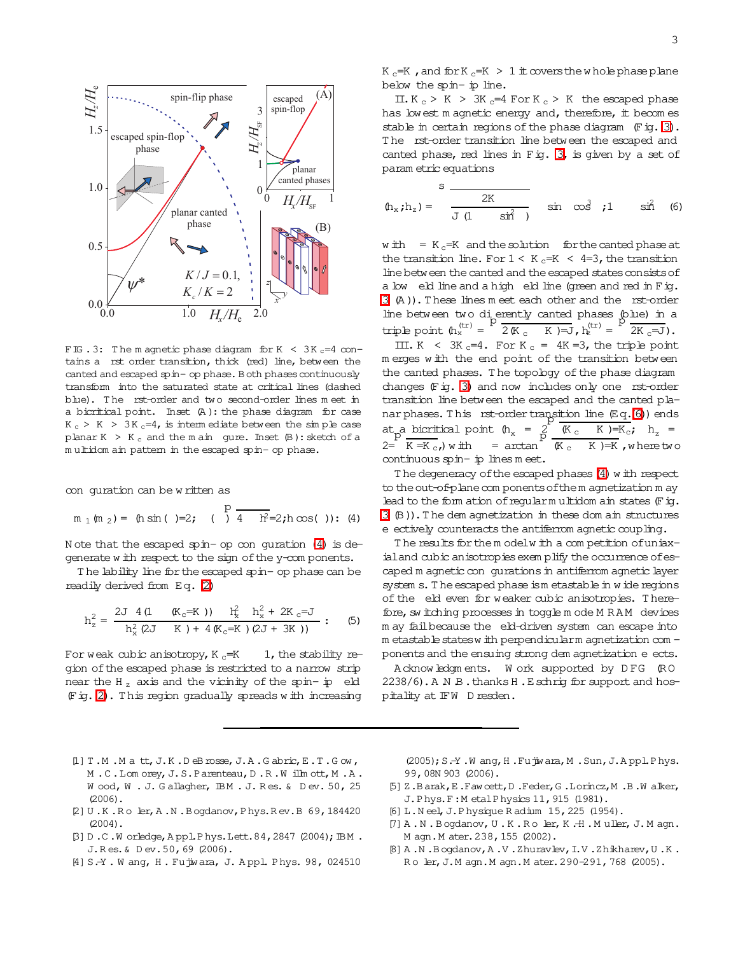

<span id="page-2-9"></span>FIG . 3: The m agnetic phase diagram for K  $\leq$  3K  $_c$ =4 contains a rst order transition, thick (red) line, between the canted and escaped spin- op phase. Both phases continuously transform into the saturated state at critical lines (dashed blue). T he rst-order and two second-order lines m eet in a bicritical point. Inset (A ): the phase diagram for case  $K_c > K > 3K_c=4$ , is interm ediate between the simple case planar K > K  $_{c}$  and the m ain gure. Inset  $(B)$ : sketch of a multidom ain pattern in the escaped spin- op phase.

con quration can be w ritten as

$$
m_1(m_2) = (h \sin( )=2; () \frac{p}{4} = 2; h \cos( )): (4)
$$

<span id="page-2-8"></span>N ote that the escaped spinop conguration [\(4\)](#page-2-8) is degenerate w ith respect to the sign of the y-com ponents.

T he lability line forthe escaped spinop phase can be readily derived from Eq. [\(2\)](#page-1-0)

$$
h_z^2 = \frac{2J \ 4 \left(1 \quad (K_c = K)\right) \quad h_x^2 \quad h_x^2 + 2K_c = J}{h_x^2 \left(2J \quad K\right) + 4 \left(K_c = K\right) \left(2J + 3K\right)} \tag{5}
$$

For weak cubic anisotropy,  $K_c=K$  1, the stability region ofthe escaped phase is restricted to a narrow strip near the H<sub>z</sub> axis and the vicinity of the spin- $ip$  eld (Fig. [2\)](#page-1-3). T his region gradually spreads w ith increasing

3

K  $_c$ =K, and for K  $_c$ =K > 1  $\pm$  covers the w hole phase plane below the spinip line.

 $II.K_c > K > 3K_c=4$  For K<sub>c</sub> > K the escaped phase has lowest m agnetic energy and, therefore, it becomes stable in certain regions of the phase diagram  $(F \nvert g. 3)$  $(F \nvert g. 3)$ . The rst-order transition line between the escaped and canted phase, red lines in Fig. [3,](#page-2-9) is given by a set of param etric equations

<span id="page-2-10"></span>
$$
(h_x; h_z) = \frac{8}{J(1 - \sin^2)} \sin \cos^2 3t
$$
 or  $\sin^2 6t$ 

w ith =  $K_c=K$  and the solution for the canted phase at the transition line. For  $1 < K_c = K < 4 = 3$ , the transition line between the canted and the escaped states consists of a low eld line and a high eld line (green and red in Fig. [3](#page-2-9) (A )).T hese lines m eet each other and the rst-order line between two dierently canted phases (blue) in a triple point  $(h_x^{\text{(tr)}} =$ p  $2(K_c$  K  $)=J$ ,  $h_k^{(tr)}$  =  $\sqrt{2K_C}$   $\sqrt{-J}$ ).

III. K < 3K  $_c=4$ . For K  $_c = 4K = 3$ , the triple point m erges w ith the end point of the transition between the canted phases. The topology of the phase diagram changes  $(F \nvert g. 3)$  $(F \nvert g. 3)$  and now includes only one rst-order transition line between the escaped and the canted planar phases. This rst-order transition line  $(\mathbb{E}\,q.6))$  ends at a bicritical point  $(h_x = p)$  $\overline{K_c}$  K )=K<sub>c</sub>; h<sub>z</sub> =  $2 = K = K_c$ , with  $=$  arctan p  $(K<sub>c</sub> K)=K$ , where two continuous spin- ip lines meet.

The degeneracy of the escaped phases [\(4\)](#page-2-8) w ith respect to the out-of-plane com ponents of the m agnetization m ay lead to the form ation of regularm ultidom ain states  $(F \text{ is } 1)$ . [3](#page-2-9) (B)).T he dem agnetization in these dom ain structures e ectively counteracts the antiferrom agnetic coupling.

The results for the m odelw ith a com petition of uniaxialand cubic anisotropies exem plify the occurrence of escaped m agnetic con gurations in antiferrom agnetic layer system s. The escaped phase is metastable in w ide regions of the eld even for weaker cubic anisotropies. T herefore, sw itching processes in toggle m ode M RAM devices m ay failbecause the eld-driven system can escape into m etastable states w ith perpendicularm agnetization com ponents and the ensuing strong dem agnetization e ects.

Acknowledgm ents. W ork supported by D FG (RO 2238/6). A N B. thanks H. Eschrig for support and hospitality at IFW D resden.

- <span id="page-2-0"></span> $[1] T.M.M a t t, J.K.D eB rosse, J.A.Gabric, E.T.Gow,$ M . C . Lom orey, J. S. Parenteau, D . R . W illm ott, M . A. W ood, W . J. Gallagher, IBM . J. Res. & Dev. 50, 25  $(2006)$ .
- <span id="page-2-1"></span>[2] U .K .R oler,A .N .B ogdanov,Phys.R ev.B 69,184420 (2004).
- <span id="page-2-2"></span>[3] D.C.W orledge, Appl.Phys.Lett.84,2847 (2004); IBM. J.R es.& D ev.50,69 (2006).
- <span id="page-2-3"></span>[4] S.-Y. W ang, H. Fujwara, J. Appl. Phys. 98, 024510

(2005);S.-Y .W ang,H .Fujiwara,M .Sun,J.A ppl.Phys. 99,08N 903 (2006).

- <span id="page-2-4"></span>[5] Z.B arak,E.Fawcett,D .Feder,G .Lorincz,M .B .W alker, J.Phys.F:M etalPhysics11,915 (1981).
- <span id="page-2-5"></span>[6] L.N eel,J.Physique R adium 15,225 (1954).
- <span id="page-2-6"></span> $[7]$  A.N.B ogdanov, U.K.Roler, K.H.Muller, J.M agn. M agn.M ater.238,155 (2002).
- <span id="page-2-7"></span>[8] A .N .B ogdanov,A .V .Zhuravlev,I.V .Zhikharev,U .K . Ro ler, J.M agn.M agn.M ater. 290-291, 768 (2005).